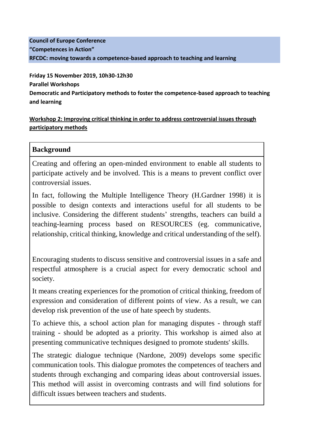### **Council of Europe Conference "Competences in Action" RFCDC: moving towards a competence-based approach to teaching and learning**

**Friday 15 November 2019, 10h30-12h30 Parallel Workshops Democratic and Participatory methods to foster the competence-based approach to teaching and learning**

#### **Workshop 2: Improving critical thinking in order to address controversial issues through participatory methods**

### **Background**

Creating and offering an open-minded environment to enable all students to participate actively and be involved. This is a means to prevent conflict over controversial issues.

In fact, following the Multiple Intelligence Theory (H.Gardner 1998) it is possible to design contexts and interactions useful for all students to be inclusive. Considering the different students' strengths, teachers can build a teaching-learning process based on RESOURCES (eg. communicative, relationship, critical thinking, knowledge and critical understanding of the self).

Encouraging students to discuss sensitive and controversial issues in a safe and respectful atmosphere is a crucial aspect for every democratic school and society.

It means creating experiences for the promotion of critical thinking, freedom of expression and consideration of different points of view. As a result, we can develop risk prevention of the use of hate speech by students.

To achieve this, a school action plan for managing disputes - through staff training - should be adopted as a priority. This workshop is aimed also at presenting communicative techniques designed to promote students' skills.

The strategic dialogue technique (Nardone, 2009) develops some specific communication tools. This dialogue promotes the competences of teachers and students through exchanging and comparing ideas about controversial issues. This method will assist in overcoming contrasts and will find solutions for difficult issues between teachers and students.